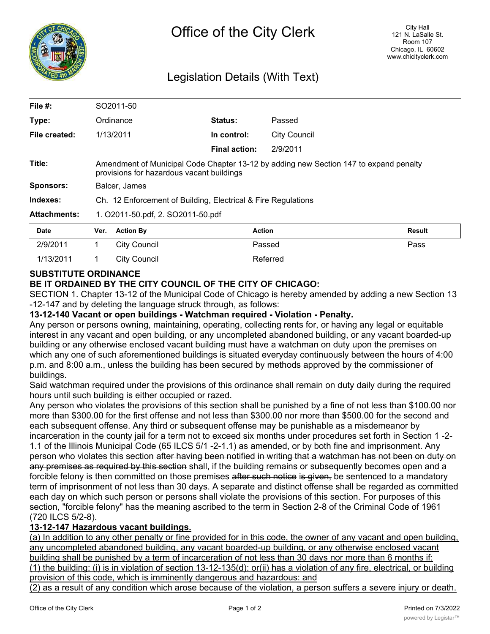

# Legislation Details (With Text)

| File $#$ :          |                                                                                                                                    | SO2011-50           |                      |                     |               |
|---------------------|------------------------------------------------------------------------------------------------------------------------------------|---------------------|----------------------|---------------------|---------------|
| Type:               | Ordinance                                                                                                                          |                     | Status:              | Passed              |               |
| File created:       |                                                                                                                                    | 1/13/2011           | In control:          | <b>City Council</b> |               |
|                     |                                                                                                                                    |                     | <b>Final action:</b> | 2/9/2011            |               |
| Title:              | Amendment of Municipal Code Chapter 13-12 by adding new Section 147 to expand penalty<br>provisions for hazardous vacant buildings |                     |                      |                     |               |
| <b>Sponsors:</b>    | Balcer, James                                                                                                                      |                     |                      |                     |               |
| Indexes:            | Ch. 12 Enforcement of Building, Electrical & Fire Regulations                                                                      |                     |                      |                     |               |
| <b>Attachments:</b> | 1. O2011-50.pdf, 2. SO2011-50.pdf                                                                                                  |                     |                      |                     |               |
| <b>Date</b>         | Ver.                                                                                                                               | <b>Action By</b>    |                      | <b>Action</b>       | <b>Result</b> |
| 2/9/2011            | 1                                                                                                                                  | <b>City Council</b> |                      | Passed              | Pass          |
| 1/13/2011           |                                                                                                                                    | <b>City Council</b> |                      | Referred            |               |

### **SUBSTITUTE ORDINANCE**

## **BE IT ORDAINED BY THE CITY COUNCIL OF THE CITY OF CHICAGO:**

SECTION 1. Chapter 13-12 of the Municipal Code of Chicago is hereby amended by adding a new Section 13 -12-147 and by deleting the language struck through, as follows:

#### **13-12-140 Vacant or open buildings - Watchman required - Violation - Penalty.**

Any person or persons owning, maintaining, operating, collecting rents for, or having any legal or equitable interest in any vacant and open building, or any uncompleted abandoned building, or any vacant boarded-up building or any otherwise enclosed vacant building must have a watchman on duty upon the premises on which any one of such aforementioned buildings is situated everyday continuously between the hours of 4:00 p.m. and 8:00 a.m., unless the building has been secured by methods approved by the commissioner of buildings.

Said watchman required under the provisions of this ordinance shall remain on duty daily during the required hours until such building is either occupied or razed.

Any person who violates the provisions of this section shall be punished by a fine of not less than \$100.00 nor more than \$300.00 for the first offense and not less than \$300.00 nor more than \$500.00 for the second and each subsequent offense. Any third or subsequent offense may be punishable as a misdemeanor by incarceration in the county jail for a term not to exceed six months under procedures set forth in Section 1 -2- 1.1 of the Illinois Municipal Code (65 ILCS 5/1 -2-1.1) as amended, or by both fine and imprisonment. Any person who violates this section after having been notified in writing that a watchman has not been on duty on any premises as required by this section shall, if the building remains or subsequently becomes open and a forcible felony is then committed on those premises after such notice is given, be sentenced to a mandatory term of imprisonment of not less than 30 days. A separate and distinct offense shall be regarded as committed each day on which such person or persons shall violate the provisions of this section. For purposes of this section, "forcible felony" has the meaning ascribed to the term in Section 2-8 of the Criminal Code of 1961 (720 ILCS 5/2-8).

## **13-12-147 Hazardous vacant buildings.**

(a) In addition to any other penalty or fine provided for in this code, the owner of any vacant and open building, any uncompleted abandoned building, any vacant boarded-up building, or any otherwise enclosed vacant building shall be punished by a term of incarceration of not less than 30 days nor more than 6 months if: (1) the building: (i) is in violation of section 13-12-135(d): or(ii) has a violation of any fire, electrical, or building provision of this code, which is imminently dangerous and hazardous: and

(2) as a result of any condition which arose because of the violation, a person suffers a severe injury or death.